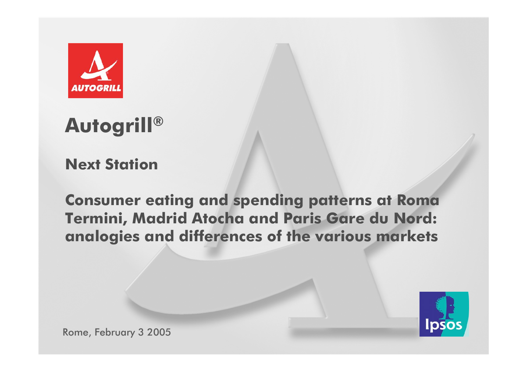

#### **Autogrill®**

**Next Station**

**Consumer eating and spending patterns at Roma Termini, Madrid Atocha and Paris Gare du Nord: analogies and differences of the various markets**



Rome, February 3 2005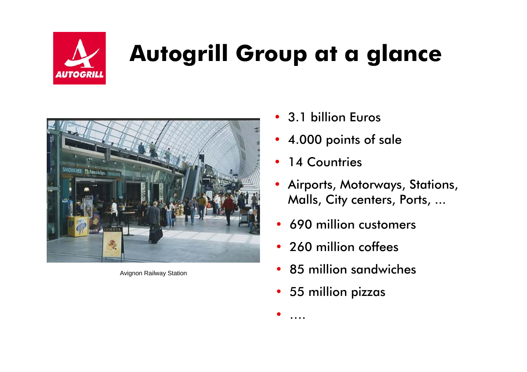

# **Autogrill Group at a glance**



Avignon Railway Station

- 3.1 billion Euros
- 4.000 points of sale
- •14 Countries
- • Airports, Motorways, Stations, Malls, City centers, Ports, ...
- •690 million customers
- 260 million coffees
- 85 million sandwiches
- 55 million pizzas

•

….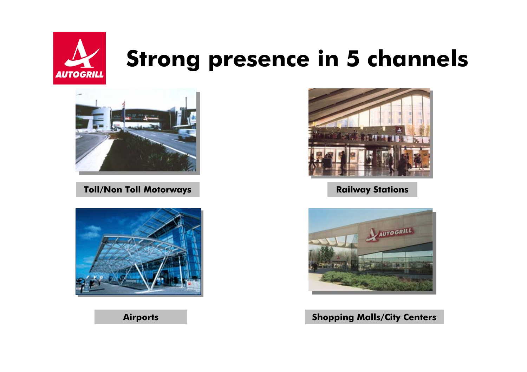



**Toll/Non Toll Mot**



**Airports**



**orways Railway Stations**



**Shopping Malls/City Centers**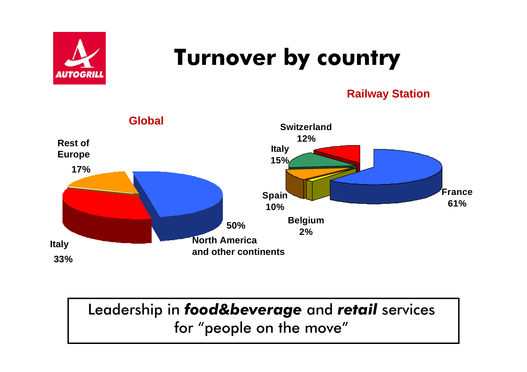

#### **Turnover by country**

#### **Railway Station**



Leadership in *food&beverage* and *retail* services for "people on the move"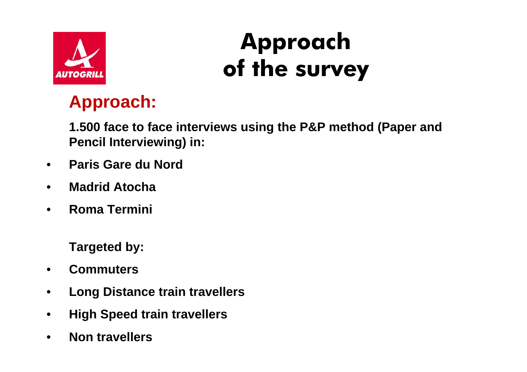

#### **Approach of the survey**

#### **Approach:**

**1.500 face to face interviews using the P&P method (Paper and Pencil Interviewing) in:**

- $\bullet$ **Paris Gare du Nord**
- •**Madrid Atocha**
- •**Roma Termini**

**Targeted by:**

- •**Commuters**
- •**Long Distance train travellers**
- •**High Speed train travellers**
- •**Non travellers**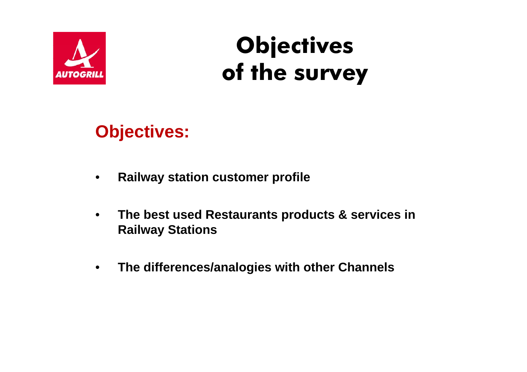

**Objectives of the survey**

#### **Objectives:**

- $\bullet$ **Railway station customer profile**
- $\bullet$  **The best used Restaurants products & services in Railway Stations**
- $\bullet$ **The differences/analogies with other Channels**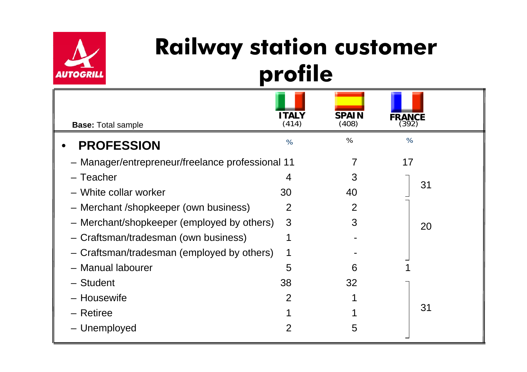

#### **Railway station customer profile**

| <b>Base: Total sample</b>                        | <b>ITALY</b><br>(414) | <b>SPAIN</b><br>(408) | FRANCE |
|--------------------------------------------------|-----------------------|-----------------------|--------|
| <b>PROFESSION</b>                                | $\%$                  | $\%$                  | $\%$   |
| - Manager/entrepreneur/freelance professional 11 |                       |                       | 17     |
| - Teacher                                        | 4                     | 3                     |        |
| - White collar worker                            | 30                    | 40                    | 31     |
| - Merchant /shopkeeper (own business)            | 2                     | 2                     |        |
| - Merchant/shopkeeper (employed by others)       | 3                     | 3                     | 20     |
| - Craftsman/tradesman (own business)             | 1                     |                       |        |
| - Craftsman/tradesman (employed by others)       | 1                     |                       |        |
| - Manual labourer                                | 5                     | 6                     |        |
| - Student                                        | 38                    | 32                    |        |
| - Housewife                                      | $\overline{2}$        |                       |        |
| - Retiree                                        |                       |                       | 31     |
| - Unemployed                                     | 2                     | 5                     |        |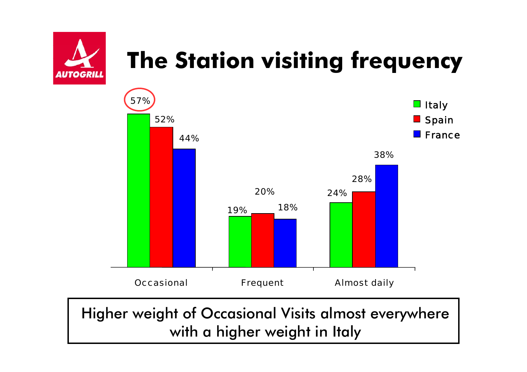

## **The Station visiting frequency**



Higher weight of Occasional Visits almost everywhere with a higher weight in Italy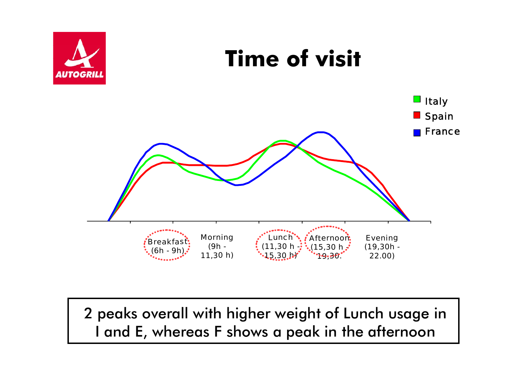

2 peaks overall with higher weight of Lunch usage in I and E, whereas F shows a peak in the afternoon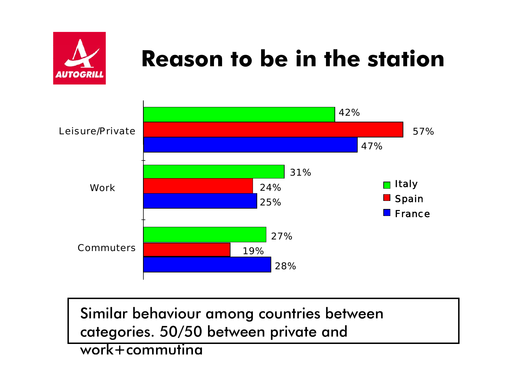

### **Reason to be in the station**



Similar behaviour among countries between categories. 50/50 between private and

#### work+commuting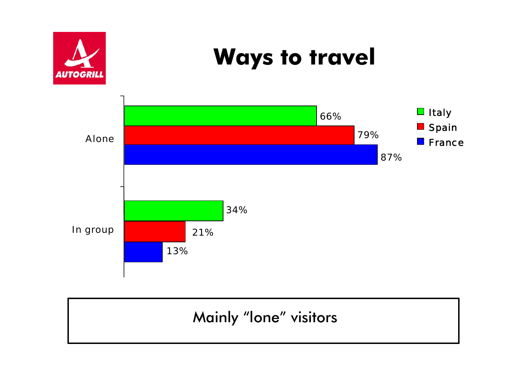

#### Mainly "lone" visitors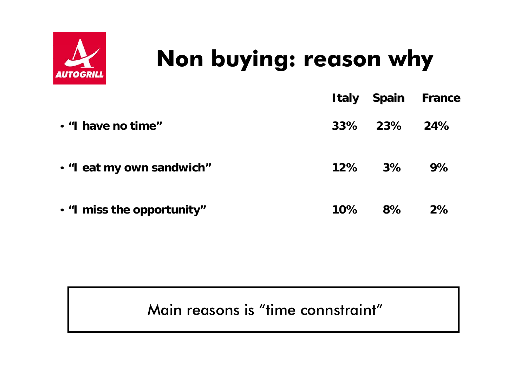

# **Non buying: reason why**

|                            |        | <b>Italy Spain France</b> |    |
|----------------------------|--------|---------------------------|----|
| • "I have no time"         |        | 33% 23% 24%               |    |
| . "I eat my own sandwich"  |        | 12% 3%                    | 9% |
| . "I miss the opportunity" | $10\%$ | $8\%$                     | 2% |

#### Main reasons is "time connstraint"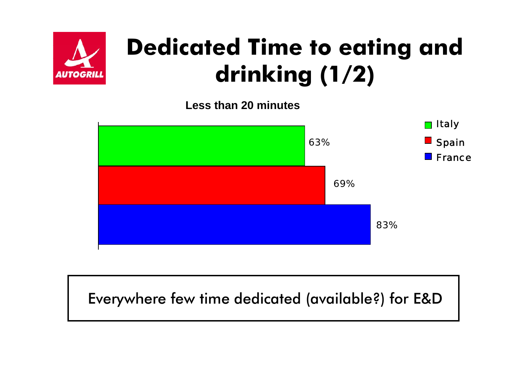

### **Dedicated Time to eating and drinking (1/2)**

**Less than 20 minutes**



#### Everywhere few time dedicated (available?) for E&D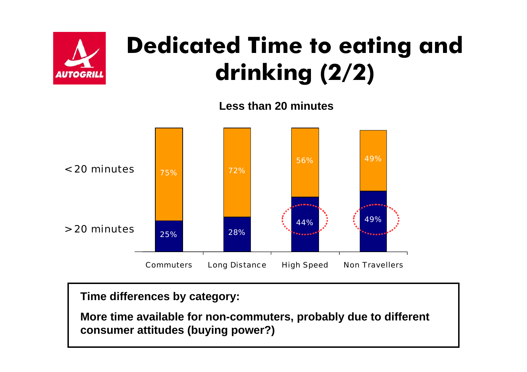

### **Dedicated Time to eating and drinking (2/2)**

**Less than 20 minutes**



**Time differences by category:**

**More time available for non-commuters, probably due to different consumer attitudes (buying power?)**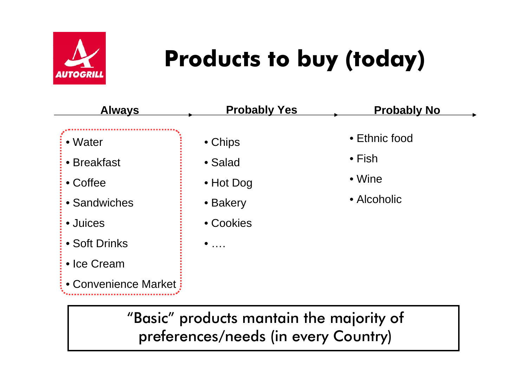

# **Products to buy (today)**

| <b>Always</b>        | <b>Probably Yes</b> | <b>Probably No</b> |
|----------------------|---------------------|--------------------|
| • Water              | • Chips             | • Ethnic food      |
| • Breakfast          | • Salad             | $\bullet$ Fish     |
| $\bullet$ Coffee     | $\bullet$ Hot Dog   | $\bullet$ Wine     |
| • Sandwiches         | • Bakery            | • Alcoholic        |
| · Juices             | • Cookies           |                    |
| • Soft Drinks        | $\ldots$            |                    |
| • Ice Cream          |                     |                    |
| • Convenience Market |                     |                    |

"Basic" products mantain the majority of preferences/needs (in every Country)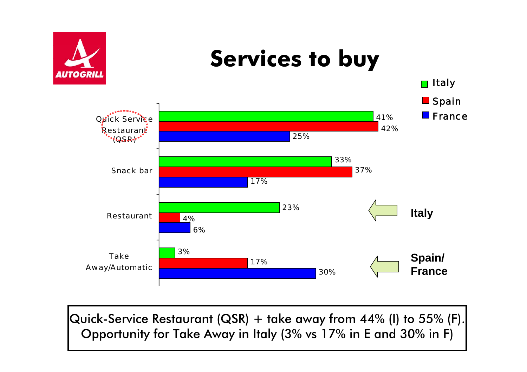

Quick-Service Restaurant (QSR) + take away from 44% (I) to 55% (F). Opportunity for Take Away in Italy (3% vs 17% in E and 30% in F)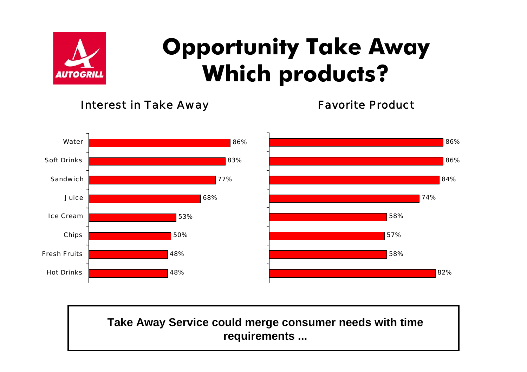

### **Opportunity Take Away Which products?**

Interest in Take Away

Favorite Product



#### **Take Away Service could merge consumer needs with time requirements ...**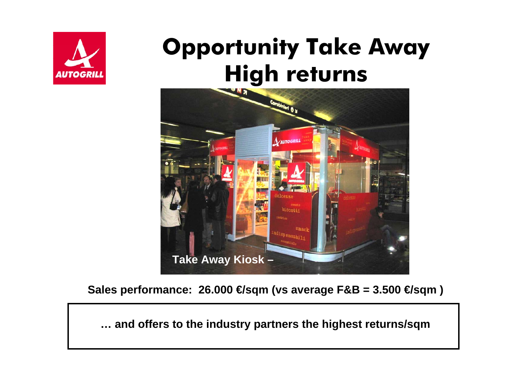

#### **Opportunity Take Away High returns**



**Sales performance: 26.000 €sqm (vs average**  $\text{F&B} = 3.500$  **€sqm )** 

**… and offers to the industry partners the highest returns/sqm**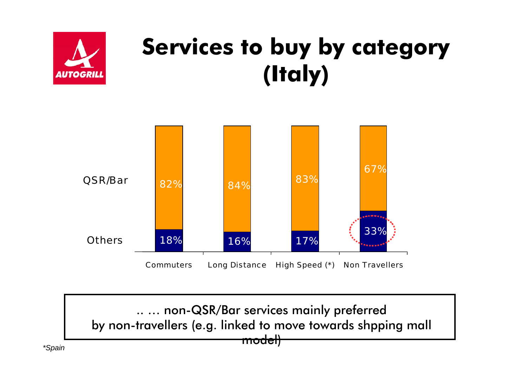

### **Services to buy by category (Italy)**



.. … non-QSR/Bar services mainly preferred by non-travellers (e.g. linked to move towards shpping mall

model)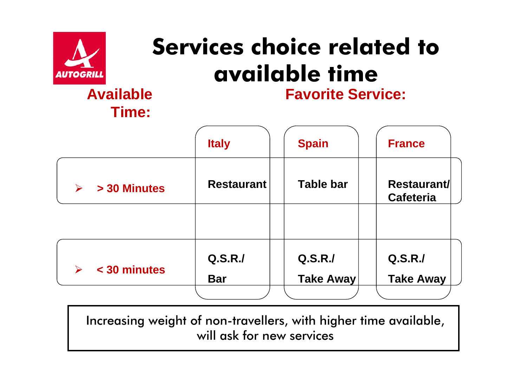

# **Services choice related to available time**

#### **AvailableTime:**

**Favorite Service:**

|                                       | <b>Italy</b>      | <b>Spain</b>     | <b>France</b>                          |
|---------------------------------------|-------------------|------------------|----------------------------------------|
| > 30 Minutes<br>$\blacktriangleright$ | <b>Restaurant</b> | <b>Table bar</b> | <b>Restaurant/</b><br><b>Cafeteria</b> |
|                                       |                   |                  |                                        |
| < 30 minutes<br>$\blacktriangleright$ | Q.S.R.J           | Q.S.R.J          | Q.S.R.J                                |
|                                       | <b>Bar</b>        | <b>Take Away</b> | <b>Take Away</b>                       |

**\*Spain** Increasing weight of non-travellers, with higher time available, will ask for new services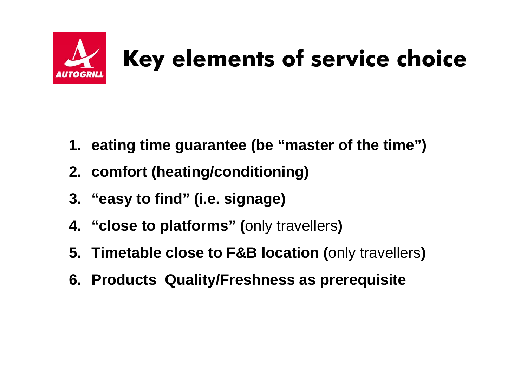

# **Key elements of service choice**

- **1. eating time guarantee (be "master of the time")**
- **2. comfort (heating/conditioning)**
- **3. "easy to find" (i.e. signage)**
- **4. "close to platforms" (**only travellers**)**
- **5. Timetable close to F&B location (**only travellers**)**
- **6. Products Quality/Freshness as prerequisite**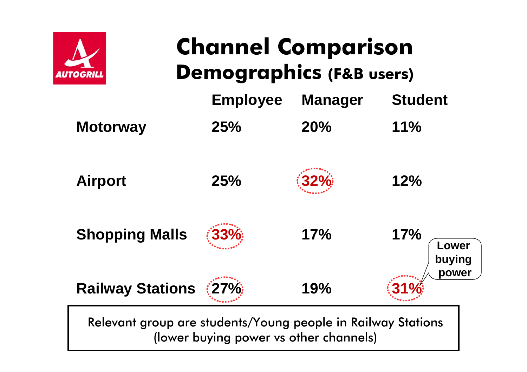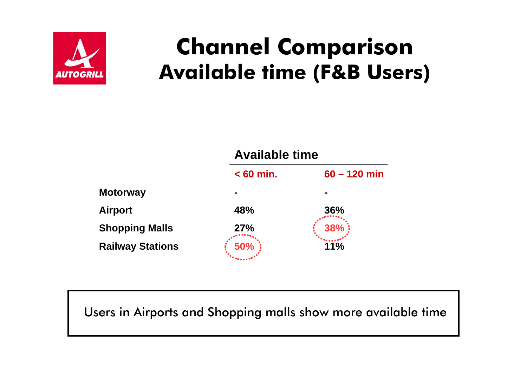![](_page_22_Picture_0.jpeg)

#### **Channel Comparison Available time (F&B Users)**

![](_page_22_Figure_2.jpeg)

Users in Airports and Shopping malls show more available time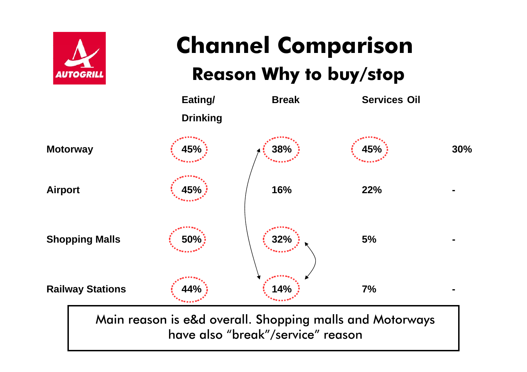![](_page_23_Picture_0.jpeg)

#### **Channel Comparison Reason Why to buy/stop**

![](_page_23_Figure_2.jpeg)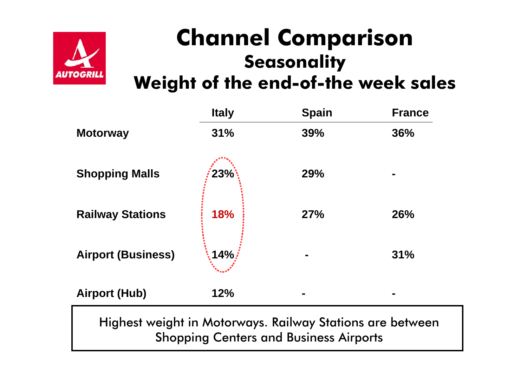![](_page_24_Picture_0.jpeg)

#### **Channel Comparison Seasonality**

**Weight of the end-of-the week sales**

|                           | <b>Italy</b> | <b>Spain</b>                                              | <b>France</b> |
|---------------------------|--------------|-----------------------------------------------------------|---------------|
| <b>Motorway</b>           | 31%          | 39%                                                       | 36%           |
| <b>Shopping Malls</b>     | 23%          | 29%                                                       |               |
| <b>Railway Stations</b>   | <b>18%</b>   | 27%                                                       | 26%           |
| <b>Airport (Business)</b> | $14\%$       |                                                           | 31%           |
| <b>Airport (Hub)</b>      | 12%          |                                                           |               |
|                           |              | Highest weight in Motorways. Railway Stations are between |               |

Shopping Centers and Business Airports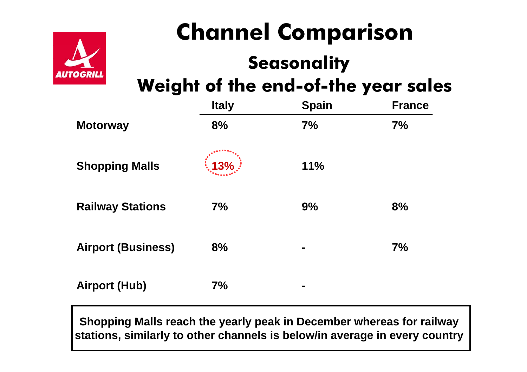![](_page_25_Picture_0.jpeg)

#### **Channel Comparison Seasonality Weight of the end-of-the year sales**

|                           | <b>Italy</b>      | <b>Spain</b>   | <b>France</b> |
|---------------------------|-------------------|----------------|---------------|
| <b>Motorway</b>           | 8%                | 7%             | 7%            |
| <b>Shopping Malls</b>     | $\frac{1}{2}$ 13% | 11%            |               |
| <b>Railway Stations</b>   | 7%                | 9%             | 8%            |
| <b>Airport (Business)</b> | 8%                |                | 7%            |
| <b>Airport (Hub)</b>      | 7%                | $\blacksquare$ |               |

**Shopping Malls reach the yearly peak in December whereas for railway stations, similarly to other channels is below/in average in every country**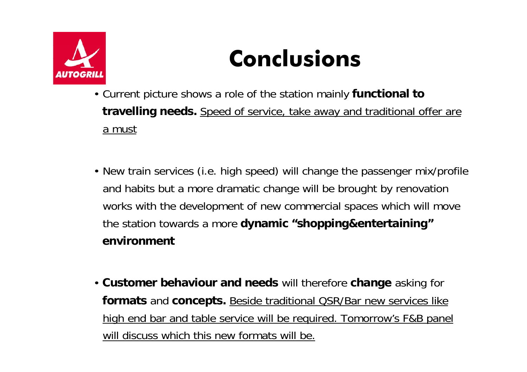![](_page_26_Picture_0.jpeg)

### **Conclusions**

- Current picture shows a role of the station mainly **functional to travelling needs.** Speed of service, take away and traditional offer are a must
- New train services (i.e. high speed) will change the passenger mix/profile and habits but a more dramatic change will be brought by renovation works with the development of new commercial spaces which will move the station towards a more **dynamic "shopping&entertaining" environment**
- **Customer behaviour and needs** will therefore **change** asking for **formats** and **concepts.** Beside traditional QSR/Bar new services like high end bar and table service will be required. Tomorrow's F&B panel will discuss which this new formats will be.